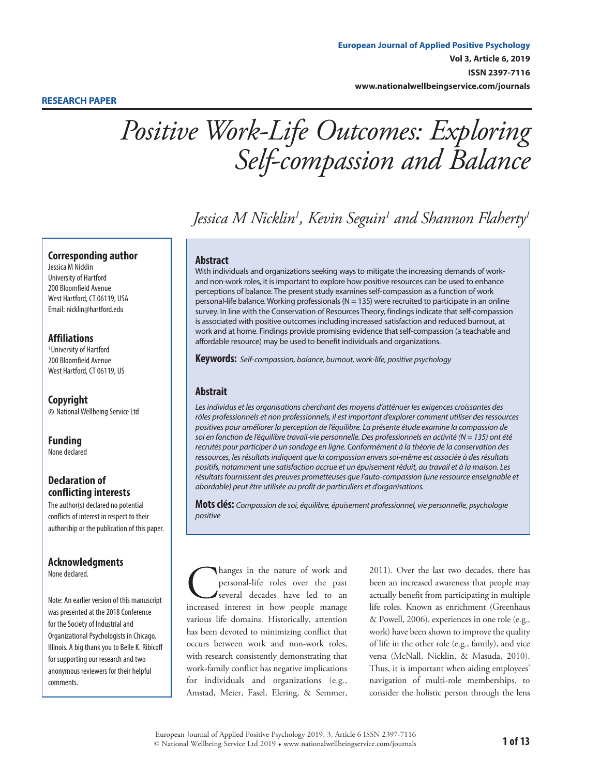*Positive Work-Life Outcomes: Exploring Self-compassion and Balance*

*Jessica M Nicklin1 , Kevin Seguin1 and Shannon Flaherty1*

# **Corresponding author**

Jessica M Nicklin University of Hartford 200 Bloomfield Avenue West Hartford, CT 06119, USA Email: [nicklin@hartford.edu](mailto:nicklin%40hartford.edu?subject=)

# **Affiliations**

<sup>1</sup> University of Hartford 200 Bloomfield Avenue West Hartford, CT 06119, US

**Copyright ©** National Wellbeing Service Ltd

**Funding** None declared

# **Declaration of conflicting interests**

The author(s) declared no potential conflicts of interest in respect to their authorship or the publication of this paper.

# **Acknowledgments**

None declared.

Note: An earlier version of this manuscript was presented at the 2018 Conference for the Society of Industrial and Organizational Psychologists in Chicago, Illinois. A big thank you to Belle K. Ribicoff for supporting our research and two anonymous reviewers for their helpful comments.

# **Abstract**

With individuals and organizations seeking ways to mitigate the increasing demands of workand non-work roles, it is important to explore how positive resources can be used to enhance perceptions of balance. The present study examines self-compassion as a function of work personal-life balance. Working professionals ( $N = 135$ ) were recruited to participate in an online survey. In line with the Conservation of Resources Theory, findings indicate that self-compassion is associated with positive outcomes including increased satisfaction and reduced burnout, at work and at home. Findings provide promising evidence that self-compassion (a teachable and affordable resource) may be used to benefit individuals and organizations.

**Keywords:** *Self-compassion, balance, burnout, work-life, positive psychology*

# **Abstrait**

*Les individus et les organisations cherchant des moyens d'atténuer les exigences croissantes des rôles professionnels et non professionnels, il est important d'explorer comment utiliser des ressources positives pour améliorer la perception de l'équilibre. La présente étude examine la compassion de soi en fonction de l'équilibre travail-vie personnelle. Des professionnels en activité (N = 135) ont été recrutés pour participer à un sondage en ligne. Conformément à la théorie de la conservation des ressources, les résultats indiquent que la compassion envers soi-même est associée à des résultats positifs, notamment une satisfaction accrue et un épuisement réduit, au travail et à la maison. Les résultats fournissent des preuves prometteuses que l'auto-compassion (une ressource enseignable et abordable) peut être utilisée au profit de particuliers et d'organisations.*

**Mots clés:** *Compassion de soi, équilibre, épuisement professionnel, vie personnelle, psychologie positive*

Changes in the nature of work and personal-life roles over the past several decades have led to an increased interest in how people manage personal-life roles over the past several decades have led to an various life domains. Historically, attention has been devoted to minimizing conflict that occurs between work and non-work roles, with research consistently demonstrating that work-family conflict has negative implications for individuals and organizations (e.g., Amstad, Meier, Fasel, Elering, & Semmer,

2011). Over the last two decades, there has been an increased awareness that people may actually benefit from participating in multiple life roles. Known as enrichment (Greenhaus & Powell, 2006), experiences in one role (e.g., work) have been shown to improve the quality of life in the other role (e.g., family), and vice versa (McNall, Nicklin, & Masuda, 2010). Thus, it is important when aiding employees' navigation of multi-role memberships, to consider the holistic person through the lens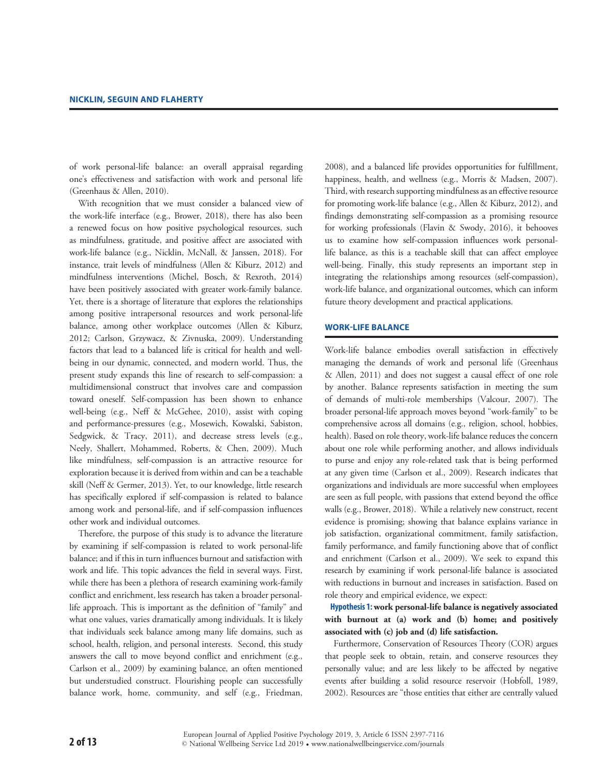of work personal-life balance: an overall appraisal regarding one's effectiveness and satisfaction with work and personal life (Greenhaus & Allen, 2010).

With recognition that we must consider a balanced view of the work-life interface (e.g., Brower, 2018), there has also been a renewed focus on how positive psychological resources, such as mindfulness, gratitude, and positive affect are associated with work-life balance (e.g., Nicklin, McNall, & Janssen, 2018). For instance, trait levels of mindfulness (Allen & Kiburz, 2012) and mindfulness interventions (Michel, Bosch, & Rexroth, 2014) have been positively associated with greater work-family balance. Yet, there is a shortage of literature that explores the relationships among positive intrapersonal resources and work personal-life balance, among other workplace outcomes (Allen & Kiburz, 2012; Carlson, Grzywacz, & Zivnuska, 2009). Understanding factors that lead to a balanced life is critical for health and wellbeing in our dynamic, connected, and modern world. Thus, the present study expands this line of research to self-compassion: a multidimensional construct that involves care and compassion toward oneself. Self-compassion has been shown to enhance well-being (e.g., Neff & McGehee, 2010), assist with coping and performance-pressures (e.g., Mosewich, Kowalski, Sabiston, Sedgwick, & Tracy, 2011), and decrease stress levels (e.g., Neely, Shallert, Mohammed, Roberts, & Chen, 2009). Much like mindfulness, self-compassion is an attractive resource for exploration because it is derived from within and can be a teachable skill (Neff & Germer, 2013). Yet, to our knowledge, little research has specifically explored if self-compassion is related to balance among work and personal-life, and if self-compassion influences other work and individual outcomes.

Therefore, the purpose of this study is to advance the literature by examining if self-compassion is related to work personal-life balance; and if this in turn influences burnout and satisfaction with work and life. This topic advances the field in several ways. First, while there has been a plethora of research examining work-family conflict and enrichment, less research has taken a broader personallife approach. This is important as the definition of "family" and what one values, varies dramatically among individuals. It is likely that individuals seek balance among many life domains, such as school, health, religion, and personal interests. Second, this study answers the call to move beyond conflict and enrichment (e.g., Carlson et al., 2009) by examining balance, an often mentioned but understudied construct. Flourishing people can successfully balance work, home, community, and self (e.g., Friedman,

2008), and a balanced life provides opportunities for fulfillment, happiness, health, and wellness (e.g., Morris & Madsen, 2007). Third, with research supporting mindfulness as an effective resource for promoting work-life balance (e.g., Allen & Kiburz, 2012), and findings demonstrating self-compassion as a promising resource for working professionals (Flavin & Swody, 2016), it behooves us to examine how self-compassion influences work personallife balance, as this is a teachable skill that can affect employee well-being. Finally, this study represents an important step in integrating the relationships among resources (self-compassion), work-life balance, and organizational outcomes, which can inform future theory development and practical applications.

#### **Work-Life Balance**

Work-life balance embodies overall satisfaction in effectively managing the demands of work and personal life (Greenhaus & Allen, 2011) and does not suggest a causal effect of one role by another. Balance represents satisfaction in meeting the sum of demands of multi-role memberships (Valcour, 2007). The broader personal-life approach moves beyond "work-family" to be comprehensive across all domains (e.g., religion, school, hobbies, health). Based on role theory, work-life balance reduces the concern about one role while performing another, and allows individuals to purse and enjoy any role-related task that is being performed at any given time (Carlson et al., 2009). Research indicates that organizations and individuals are more successful when employees are seen as full people, with passions that extend beyond the office walls (e.g., Brower, 2018). While a relatively new construct, recent evidence is promising; showing that balance explains variance in job satisfaction, organizational commitment, family satisfaction, family performance, and family functioning above that of conflict and enrichment (Carlson et al., 2009). We seek to expand this research by examining if work personal-life balance is associated with reductions in burnout and increases in satisfaction. Based on role theory and empirical evidence, we expect:

**Hypothesis 1: work personal-life balance is negatively associated with burnout at (a) work and (b) home; and positively associated with (c) job and (d) life satisfaction.** 

Furthermore, Conservation of Resources Theory (COR) argues that people seek to obtain, retain, and conserve resources they personally value; and are less likely to be affected by negative events after building a solid resource reservoir (Hobfoll, 1989, 2002). Resources are "those entities that either are centrally valued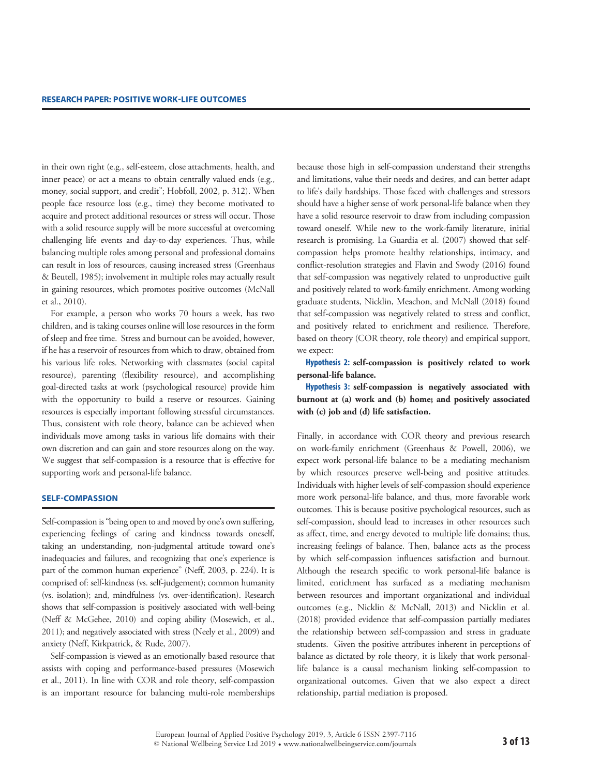in their own right (e.g., self-esteem, close attachments, health, and inner peace) or act a means to obtain centrally valued ends (e.g., money, social support, and credit"; Hobfoll, 2002, p. 312). When people face resource loss (e.g., time) they become motivated to acquire and protect additional resources or stress will occur. Those with a solid resource supply will be more successful at overcoming challenging life events and day-to-day experiences. Thus, while balancing multiple roles among personal and professional domains can result in loss of resources, causing increased stress (Greenhaus & Beutell, 1985); involvement in multiple roles may actually result in gaining resources, which promotes positive outcomes (McNall et al., 2010).

For example, a person who works 70 hours a week, has two children, and is taking courses online will lose resources in the form of sleep and free time. Stress and burnout can be avoided, however, if he has a reservoir of resources from which to draw, obtained from his various life roles. Networking with classmates (social capital resource), parenting (flexibility resource), and accomplishing goal-directed tasks at work (psychological resource) provide him with the opportunity to build a reserve or resources. Gaining resources is especially important following stressful circumstances. Thus, consistent with role theory, balance can be achieved when individuals move among tasks in various life domains with their own discretion and can gain and store resources along on the way. We suggest that self-compassion is a resource that is effective for supporting work and personal-life balance.

#### **Self-Compassion**

Self-compassion is "being open to and moved by one's own suffering, experiencing feelings of caring and kindness towards oneself, taking an understanding, non-judgmental attitude toward one's inadequacies and failures, and recognizing that one's experience is part of the common human experience" (Neff, 2003, p. 224). It is comprised of: self-kindness (vs. self-judgement); common humanity (vs. isolation); and, mindfulness (vs. over-identification). Research shows that self-compassion is positively associated with well-being (Neff & McGehee, 2010) and coping ability (Mosewich, et al., 2011); and negatively associated with stress (Neely et al., 2009) and anxiety (Neff, Kirkpatrick, & Rude, 2007).

Self-compassion is viewed as an emotionally based resource that assists with coping and performance-based pressures (Mosewich et al., 2011). In line with COR and role theory, self-compassion is an important resource for balancing multi-role memberships because those high in self-compassion understand their strengths and limitations, value their needs and desires, and can better adapt to life's daily hardships. Those faced with challenges and stressors should have a higher sense of work personal-life balance when they have a solid resource reservoir to draw from including compassion toward oneself. While new to the work-family literature, initial research is promising. La Guardia et al. (2007) showed that selfcompassion helps promote healthy relationships, intimacy, and conflict-resolution strategies and Flavin and Swody (2016) found that self-compassion was negatively related to unproductive guilt and positively related to work-family enrichment. Among working graduate students, Nicklin, Meachon, and McNall (2018) found that self-compassion was negatively related to stress and conflict, and positively related to enrichment and resilience. Therefore, based on theory (COR theory, role theory) and empirical support, we expect:

**Hypothesis 2: self-compassion is positively related to work personal-life balance.** 

**Hypothesis 3: self-compassion is negatively associated with burnout at (a) work and (b) home; and positively associated with (c) job and (d) life satisfaction.**

Finally, in accordance with COR theory and previous research on work-family enrichment (Greenhaus & Powell, 2006), we expect work personal-life balance to be a mediating mechanism by which resources preserve well-being and positive attitudes. Individuals with higher levels of self-compassion should experience more work personal-life balance, and thus, more favorable work outcomes. This is because positive psychological resources, such as self-compassion, should lead to increases in other resources such as affect, time, and energy devoted to multiple life domains; thus, increasing feelings of balance. Then, balance acts as the process by which self-compassion influences satisfaction and burnout. Although the research specific to work personal-life balance is limited, enrichment has surfaced as a mediating mechanism between resources and important organizational and individual outcomes (e.g., Nicklin & McNall, 2013) and Nicklin et al. (2018) provided evidence that self-compassion partially mediates the relationship between self-compassion and stress in graduate students. Given the positive attributes inherent in perceptions of balance as dictated by role theory, it is likely that work personallife balance is a causal mechanism linking self-compassion to organizational outcomes. Given that we also expect a direct relationship, partial mediation is proposed.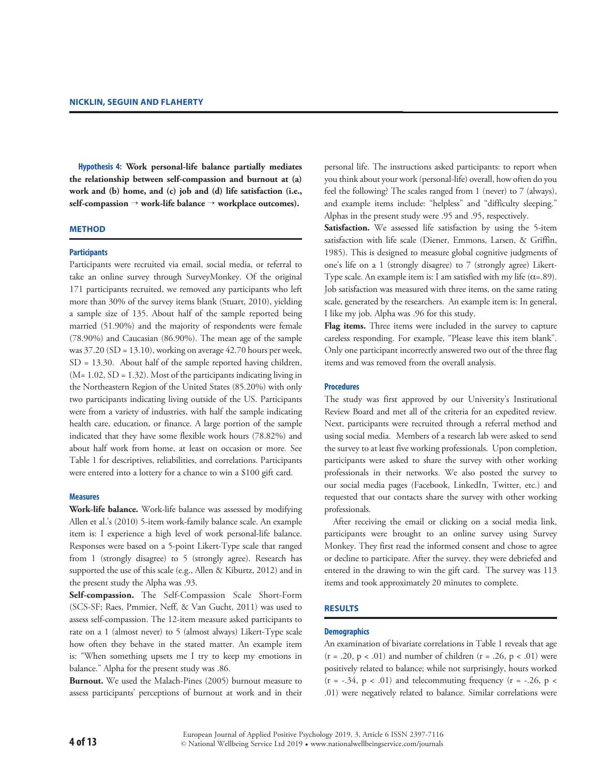**Hypothesis 4: Work personal-life balance partially mediates the relationship between self-compassion and burnout at (a) work and (b) home, and (c) job and (d) life satisfaction (i.e., self-compassion** → **work-life balance** → **workplace outcomes).**

### **Method**

# **Participants**

Participants were recruited via email, social media, or referral to take an online survey through SurveyMonkey. Of the original 171 participants recruited, we removed any participants who left more than 30% of the survey items blank (Stuart, 2010), yielding a sample size of 135. About half of the sample reported being married (51.90%) and the majority of respondents were female (78.90%) and Caucasian (86.90%). The mean age of the sample was  $37.20$  (SD = 13.10), working on average 42.70 hours per week, SD = 13.30. About half of the sample reported having children,  $(M= 1.02, SD = 1.32)$ . Most of the participants indicating living in the Northeastern Region of the United States (85.20%) with only two participants indicating living outside of the US. Participants were from a variety of industries, with half the sample indicating health care, education, or finance. A large portion of the sample indicated that they have some flexible work hours (78.82%) and about half work from home, at least on occasion or more. See Table 1 for descriptives, reliabilities, and correlations. Participants were entered into a lottery for a chance to win a \$100 gift card.

#### **Measures**

**Work-life balance.** Work-life balance was assessed by modifying Allen et al.'s (2010) 5-item work-family balance scale. An example item is: I experience a high level of work personal-life balance. Responses were based on a 5-point Likert-Type scale that ranged from 1 (strongly disagree) to 5 (strongly agree). Research has supported the use of this scale (e.g., Allen & Kiburtz, 2012) and in the present study the Alpha was .93.

**Self-compassion.** The Self-Compassion Scale Short-Form (SCS-SF; Raes, Pmmier, Neff, & Van Gucht, 2011) was used to assess self-compassion. The 12-item measure asked participants to rate on a 1 (almost never) to 5 (almost always) Likert-Type scale how often they behave in the stated matter. An example item is: "When something upsets me I try to keep my emotions in balance." Alpha for the present study was .86.

**Burnout.** We used the Malach-Pines (2005) burnout measure to assess participants' perceptions of burnout at work and in their personal life. The instructions asked participants: to report when you think about your work (personal-life) overall, how often do you feel the following? The scales ranged from 1 (never) to 7 (always), and example items include: "helpless" and "difficulty sleeping." Alphas in the present study were .95 and .95, respectively.

**Satisfaction.** We assessed life satisfaction by using the 5-item satisfaction with life scale (Diener, Emmons, Larsen, & Griffin, 1985). This is designed to measure global cognitive judgments of one's life on a 1 (strongly disagree) to 7 (strongly agree) Likert-Type scale. An example item is: I am satisfied with my life  $(\alpha = .89)$ . Job satisfaction was measured with three items, on the same rating scale, generated by the researchers. An example item is: In general, I like my job. Alpha was .96 for this study.

**Flag items.** Three items were included in the survey to capture careless responding. For example, "Please leave this item blank". Only one participant incorrectly answered two out of the three flag items and was removed from the overall analysis.

# **Procedures**

The study was first approved by our University's Institutional Review Board and met all of the criteria for an expedited review. Next, participants were recruited through a referral method and using social media. Members of a research lab were asked to send the survey to at least five working professionals. Upon completion, participants were asked to share the survey with other working professionals in their networks. We also posted the survey to our social media pages (Facebook, LinkedIn, Twitter, etc.) and requested that our contacts share the survey with other working professionals.

After receiving the email or clicking on a social media link, participants were brought to an online survey using Survey Monkey. They first read the informed consent and chose to agree or decline to participate. After the survey, they were debriefed and entered in the drawing to win the gift card. The survey was 113 items and took approximately 20 minutes to complete.

### **Results**

#### **Demographics**

An examination of bivariate correlations in Table 1 reveals that age  $(r = .20, p < .01)$  and number of children  $(r = .26, p < .01)$  were positively related to balance; while not surprisingly, hours worked  $(r = -.34, p < .01)$  and telecommuting frequency  $(r = -.26, p <$ .01) were negatively related to balance. Similar correlations were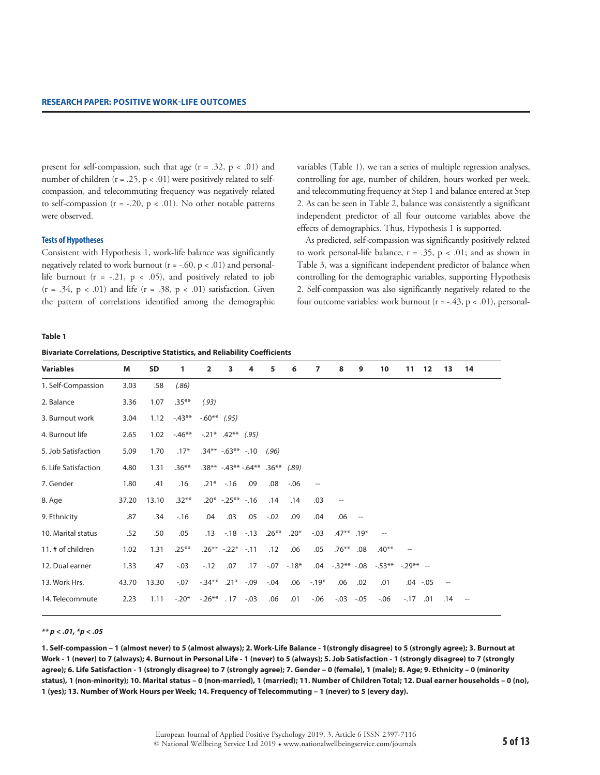present for self-compassion, such that age  $(r = .32, p < .01)$  and number of children ( $r = .25$ ,  $p < .01$ ) were positively related to selfcompassion, and telecommuting frequency was negatively related to self-compassion ( $r = -.20$ ,  $p < .01$ ). No other notable patterns were observed.

#### **Tests of Hypotheses**

Consistent with Hypothesis 1, work-life balance was significantly negatively related to work burnout  $(r = -.60, p < .01)$  and personallife burnout  $(r = -.21, p < .05)$ , and positively related to job  $(r = .34, p < .01)$  and life  $(r = .38, p < .01)$  satisfaction. Given the pattern of correlations identified among the demographic variables (Table 1), we ran a series of multiple regression analyses, controlling for age, number of children, hours worked per week, and telecommuting frequency at Step 1 and balance entered at Step 2. As can be seen in Table 2, balance was consistently a significant independent predictor of all four outcome variables above the effects of demographics. Thus, Hypothesis 1 is supported.

As predicted, self-compassion was significantly positively related to work personal-life balance,  $r = .35$ ,  $p < .01$ ; and as shown in Table 3, was a significant independent predictor of balance when controlling for the demographic variables, supporting Hypothesis 2. Self-compassion was also significantly negatively related to the four outcome variables: work burnout ( $r = -.43$ ,  $p < .01$ ), personal-

### **Table 1**

| <b>Bivariate Correlations, Descriptive Statistics, and Reliability Coefficients</b> |  |  |  |  |
|-------------------------------------------------------------------------------------|--|--|--|--|
|-------------------------------------------------------------------------------------|--|--|--|--|

| <b>Variables</b>     | M     | <b>SD</b> | 1        | $\overline{2}$       | 3                  | 4                            | 5       | 6           | 7                        | 8                   | 9                                  | 10                       | 11        | 12          | 13  | 14                                 |
|----------------------|-------|-----------|----------|----------------------|--------------------|------------------------------|---------|-------------|--------------------------|---------------------|------------------------------------|--------------------------|-----------|-------------|-----|------------------------------------|
| 1. Self-Compassion   | 3.03  | .58       | (.86)    |                      |                    |                              |         |             |                          |                     |                                    |                          |           |             |     |                                    |
| 2. Balance           | 3.36  | 1.07      | $.35***$ | (.93)                |                    |                              |         |             |                          |                     |                                    |                          |           |             |     |                                    |
| 3. Burnout work      | 3.04  | 1.12      | $-43**$  | $-.60**$ (.95)       |                    |                              |         |             |                          |                     |                                    |                          |           |             |     |                                    |
| 4. Burnout life      | 2.65  | 1.02      | $-46**$  | $-.21$ * .42** (.95) |                    |                              |         |             |                          |                     |                                    |                          |           |             |     |                                    |
| 5. Job Satisfaction  | 5.09  | 1.70      | $.17*$   |                      |                    | $.34***$ $-.63**$ $-.10$     | (.96)   |             |                          |                     |                                    |                          |           |             |     |                                    |
| 6. Life Satisfaction | 4.80  | 1.31      | $.36***$ |                      |                    | $.38***$ -.43** -.64** .36** |         | (.89)       |                          |                     |                                    |                          |           |             |     |                                    |
| 7. Gender            | 1.80  | .41       | .16      | $.21*$               | $-16$              | .09                          | .08     | $-.06$      | $\overline{\phantom{a}}$ |                     |                                    |                          |           |             |     |                                    |
| 8. Age               | 37.20 | 13.10     | $.32***$ |                      | $.20* -.25** -.16$ |                              | .14     | .14         | .03                      | $\hspace{0.05cm} -$ |                                    |                          |           |             |     |                                    |
| 9. Ethnicity         | .87   | .34       | $-16$    | .04                  | .03                | .05                          | $-.02$  | .09         | .04                      | .06                 | $\hspace{0.05cm} -\hspace{0.05cm}$ |                          |           |             |     |                                    |
| 10. Marital status   | .52   | .50       | .05      | .13                  |                    | $-.18-.13$                   | $.26**$ | $.20*$      | $-.03$                   | $.47**$ .19*        |                                    | $\overline{\phantom{m}}$ |           |             |     |                                    |
| 11. # of children    | 1.02  | 1.31      | $.25***$ |                      | $.26***-.22*-.11$  |                              | .12     | .06         | .05                      | $.76***$            | .08                                | $.40**$                  |           |             |     |                                    |
| 12. Dual earner      | 1.33  | .47       | $-.03$   | $-12$                | .07                | .17                          |         | $-.07-.18*$ | .04                      | $-.32***-.08$       |                                    | $-.53**$                 | $-29** -$ |             |     |                                    |
| 13. Work Hrs.        | 43.70 | 13.30     | $-.07$   | $-.34**$             |                    | $.21*-.09$                   | $-.04$  | .06         | $-.19*$                  | .06                 | .02                                | .01                      |           | $.04 - .05$ |     |                                    |
| 14. Telecommute      | 2.23  | 1.11      | $-.20*$  | $-.26***$ . 17       |                    | $-.03$                       | .06     | .01         | $-0.06$                  | $-.03-.05$          |                                    | $-0.06$                  | $-.17$    | .01         | .14 | $\hspace{0.05cm} -\hspace{0.05cm}$ |

#### *\*\* p < .01, \*p < .05*

**1. Self-compassion – 1 (almost never) to 5 (almost always); 2. Work-Life Balance - 1(strongly disagree) to 5 (strongly agree); 3. Burnout at Work - 1 (never) to 7 (always); 4. Burnout in Personal Life - 1 (never) to 5 (always); 5. Job Satisfaction - 1 (strongly disagree) to 7 (strongly agree); 6. Life Satisfaction - 1 (strongly disagree) to 7 (strongly agree); 7. Gender – 0 (female), 1 (male); 8. Age; 9. Ethnicity – 0 (minority status), 1 (non-minority); 10. Marital status – 0 (non-married), 1 (married); 11. Number of Children Total; 12. Dual earner households – 0 (no), 1 (yes); 13. Number of Work Hours per Week; 14. Frequency of Telecommuting – 1 (never) to 5 (every day).**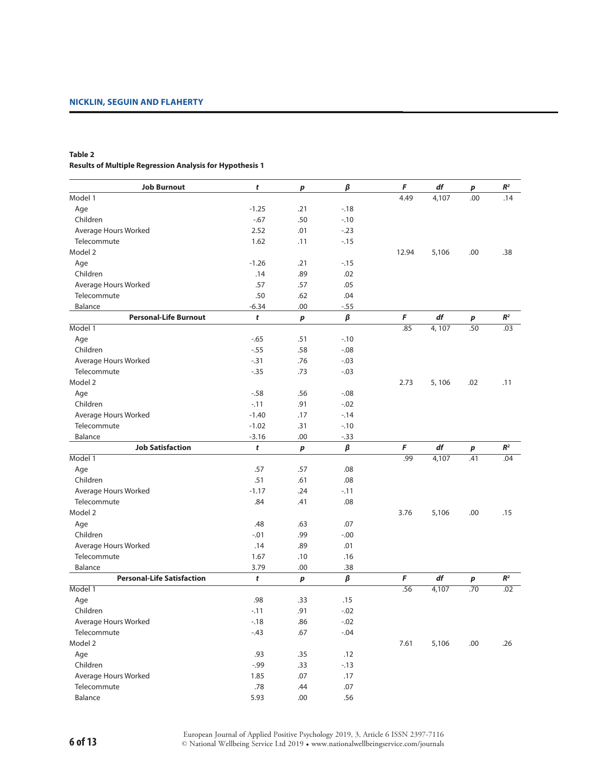# **Table 2 Results of Multiple Regression Analysis for Hypothesis 1**

| <b>Job Burnout</b>                | t       | p         | $\pmb{\beta}$ | F     | df    | $\boldsymbol{p}$ | $\mathbb{R}^2$ |
|-----------------------------------|---------|-----------|---------------|-------|-------|------------------|----------------|
| Model 1                           |         |           |               | 4.49  | 4,107 | .00              | .14            |
| Age                               | $-1.25$ | .21       | $-18$         |       |       |                  |                |
| Children                          | $-.67$  | .50       | $-10$         |       |       |                  |                |
| Average Hours Worked              | 2.52    | .01       | $-.23$        |       |       |                  |                |
| Telecommute                       | 1.62    | .11       | $-.15$        |       |       |                  |                |
| Model 2                           |         |           |               | 12.94 | 5,106 | .00              | .38            |
| Age                               | $-1.26$ | .21       | $-15$         |       |       |                  |                |
| Children                          | .14     | .89       | .02           |       |       |                  |                |
| Average Hours Worked              | .57     | .57       | .05           |       |       |                  |                |
| Telecommute                       | .50     | .62       | .04           |       |       |                  |                |
| Balance                           | $-6.34$ | .00       | $-.55$        |       |       |                  |                |
| <b>Personal-Life Burnout</b>      | t       | $\pmb{p}$ | β             | F     | df    | p                | $\mathbb{R}^2$ |
| Model 1                           |         |           |               | .85   | 4,107 | .50              | .03            |
| Age                               | $-0.65$ | .51       | $-.10$        |       |       |                  |                |
| Children                          | $-.55$  | .58       | $-.08$        |       |       |                  |                |
| Average Hours Worked              | $-0.31$ | .76       | $-.03$        |       |       |                  |                |
| Telecommute                       | $-0.35$ | .73       | $-.03$        |       |       |                  |                |
| Model 2                           |         |           |               | 2.73  | 5,106 | .02              | .11            |
| Age                               | $-58$   | .56       | $-0.08$       |       |       |                  |                |
| Children                          | $-11$   | .91       | $-.02$        |       |       |                  |                |
| Average Hours Worked              | $-1.40$ | .17       | $-14$         |       |       |                  |                |
| Telecommute                       | $-1.02$ | .31       | $-.10$        |       |       |                  |                |
| Balance                           | $-3.16$ | .00       | $-0.33$       |       |       |                  |                |
| <b>Job Satisfaction</b>           | t       | $\pmb{p}$ | $\pmb{\beta}$ | F     | df    | $\boldsymbol{p}$ | $I\!\!R^2$     |
| Model 1                           |         |           |               | .99   | 4,107 | .41              | .04            |
| Age                               | .57     | .57       | .08           |       |       |                  |                |
| Children                          | .51     | .61       | .08           |       |       |                  |                |
| Average Hours Worked              | $-1.17$ | .24       | $-11$         |       |       |                  |                |
| Telecommute                       | .84     | .41       | .08           |       |       |                  |                |
| Model 2                           |         |           |               | 3.76  | 5,106 | .00              | .15            |
| Age                               | .48     | .63       | .07           |       |       |                  |                |
| Children                          | $-.01$  | .99       | $-.00$        |       |       |                  |                |
| Average Hours Worked              | .14     | .89       | .01           |       |       |                  |                |
| Telecommute                       | 1.67    | .10       | .16           |       |       |                  |                |
| Balance                           | 3.79    | .00       | .38           |       |       |                  |                |
| <b>Personal-Life Satisfaction</b> | t       | p         | $\pmb{\beta}$ | F     | df    | $\boldsymbol{p}$ | $\mathbb{R}^2$ |
| Model 1                           |         |           |               | .56   | 4,107 | .70              | .02            |
| Age                               | .98     | .33       | .15           |       |       |                  |                |
| Children                          | $-.11$  | .91       | $-.02$        |       |       |                  |                |
| Average Hours Worked              | $-.18$  | .86       | $-.02$        |       |       |                  |                |
| Telecommute                       | $-.43$  | .67       | $-.04$        |       |       |                  |                |
| Model 2                           |         |           |               | 7.61  | 5,106 | .00.             | .26            |
| Age                               | .93     | .35       | .12           |       |       |                  |                |
| Children                          | $-0.99$ | .33       | $-.13$        |       |       |                  |                |
| Average Hours Worked              | 1.85    | .07       | .17           |       |       |                  |                |
| Telecommute                       | $.78$   | .44       | $.07$         |       |       |                  |                |
| Balance                           | 5.93    | .00       | .56           |       |       |                  |                |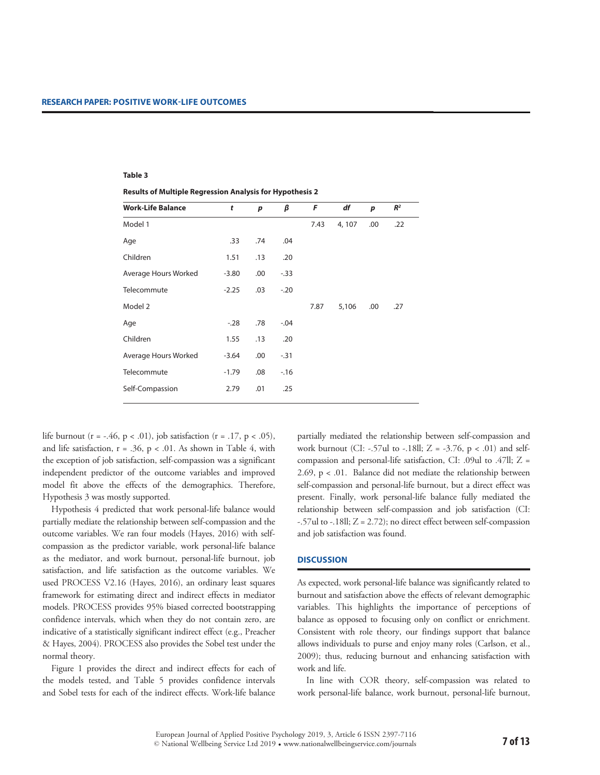#### **Table 3**

**Results of Multiple Regression Analysis for Hypothesis 2**

| <b>Work-Life Balance</b> | t       | p   | β      | F    | df     | p   | R <sup>2</sup> |
|--------------------------|---------|-----|--------|------|--------|-----|----------------|
| Model 1                  |         |     |        | 7.43 | 4, 107 | .00 | .22            |
| Age                      | .33     | .74 | .04    |      |        |     |                |
| Children                 | 1.51    | .13 | .20    |      |        |     |                |
| Average Hours Worked     | $-3.80$ | .00 | $-.33$ |      |        |     |                |
| Telecommute              | $-2.25$ | .03 | $-.20$ |      |        |     |                |
| Model 2                  |         |     |        | 7.87 | 5,106  | .00 | .27            |
| Age                      | $-.28$  | .78 | $-.04$ |      |        |     |                |
| Children                 | 1.55    | .13 | .20    |      |        |     |                |
| Average Hours Worked     | $-3.64$ | .00 | $-.31$ |      |        |     |                |
| Telecommute              | $-1.79$ | .08 | $-16$  |      |        |     |                |
| Self-Compassion          | 2.79    | .01 | .25    |      |        |     |                |

life burnout (r = -.46, p < .01), job satisfaction (r = .17, p < .05), and life satisfaction,  $r = .36$ ,  $p < .01$ . As shown in Table 4, with the exception of job satisfaction, self-compassion was a significant independent predictor of the outcome variables and improved model fit above the effects of the demographics. Therefore, Hypothesis 3 was mostly supported.

Hypothesis 4 predicted that work personal-life balance would partially mediate the relationship between self-compassion and the outcome variables. We ran four models (Hayes, 2016) with selfcompassion as the predictor variable, work personal-life balance as the mediator, and work burnout, personal-life burnout, job satisfaction, and life satisfaction as the outcome variables. We used PROCESS V2.16 (Hayes, 2016), an ordinary least squares framework for estimating direct and indirect effects in mediator models. PROCESS provides 95% biased corrected bootstrapping confidence intervals, which when they do not contain zero, are indicative of a statistically significant indirect effect (e.g., Preacher & Hayes, 2004). PROCESS also provides the Sobel test under the normal theory.

Figure 1 provides the direct and indirect effects for each of the models tested, and Table 5 provides confidence intervals and Sobel tests for each of the indirect effects. Work-life balance

partially mediated the relationship between self-compassion and work burnout (CI: -.57ul to -.18ll;  $Z = -3.76$ ,  $p < .01$ ) and selfcompassion and personal-life satisfaction, CI: .09ul to .47ll; Z = 2.69,  $p < 0.01$ . Balance did not mediate the relationship between self-compassion and personal-life burnout, but a direct effect was present. Finally, work personal-life balance fully mediated the relationship between self-compassion and job satisfaction (CI:  $-57$ ul to  $-18$ ll;  $Z = 2.72$ ); no direct effect between self-compassion and job satisfaction was found.

### **Discussion**

As expected, work personal-life balance was significantly related to burnout and satisfaction above the effects of relevant demographic variables. This highlights the importance of perceptions of balance as opposed to focusing only on conflict or enrichment. Consistent with role theory, our findings support that balance allows individuals to purse and enjoy many roles (Carlson, et al., 2009); thus, reducing burnout and enhancing satisfaction with work and life.

In line with COR theory, self-compassion was related to work personal-life balance, work burnout, personal-life burnout,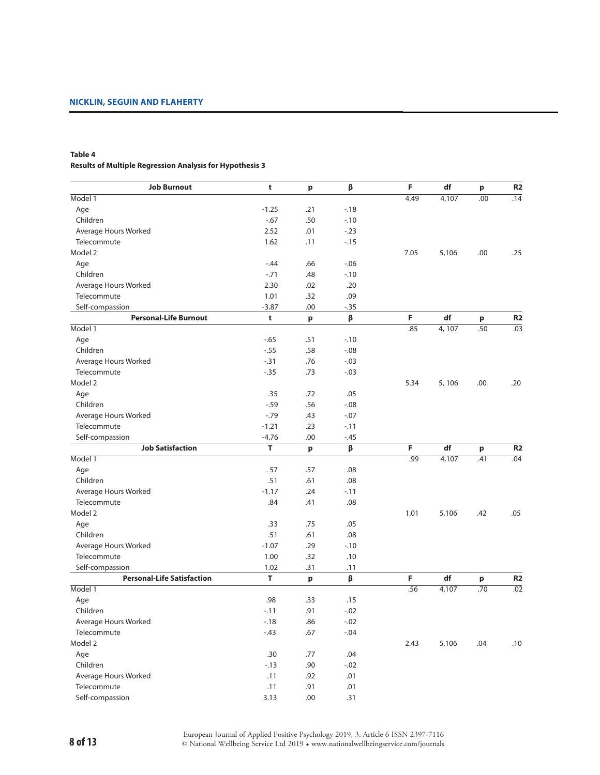# **Table 4 Results of Multiple Regression Analysis for Hypothesis 3**

| <b>Job Burnout</b>                | t       | p            | β       | F    | df    | p   | R <sub>2</sub>   |
|-----------------------------------|---------|--------------|---------|------|-------|-----|------------------|
| Model 1                           |         |              |         | 4.49 | 4,107 | .00 | .14              |
| Age                               | $-1.25$ | .21          | $-18$   |      |       |     |                  |
| Children                          | $-0.67$ | .50          | $-.10$  |      |       |     |                  |
| Average Hours Worked              | 2.52    | .01          | $-.23$  |      |       |     |                  |
| Telecommute                       | 1.62    | .11          | $-.15$  |      |       |     |                  |
| Model 2                           |         |              |         | 7.05 | 5,106 | .00 | .25              |
| Age                               | $-.44$  | .66          | $-.06$  |      |       |     |                  |
| Children                          | $-.71$  | .48          | $-.10$  |      |       |     |                  |
| Average Hours Worked              | 2.30    | .02          | .20     |      |       |     |                  |
| Telecommute                       | 1.01    | .32          | .09     |      |       |     |                  |
| Self-compassion                   | $-3.87$ | .00          | $-0.35$ |      |       |     |                  |
| <b>Personal-Life Burnout</b>      | t       | p            | β       | F    | df    | p   | <b>R2</b>        |
| Model 1                           |         |              |         | .85  | 4,107 | .50 | $\overline{.03}$ |
| Age                               | $-65$   | .51          | $-.10$  |      |       |     |                  |
| Children                          | $-0.55$ | .58          | $-.08$  |      |       |     |                  |
| Average Hours Worked              | $-.31$  | .76          | $-.03$  |      |       |     |                  |
| Telecommute                       | $-0.35$ | .73          | $-.03$  |      |       |     |                  |
| Model 2                           |         |              |         | 5.34 | 5,106 | .00 | .20              |
| Age                               | .35     | .72          | .05     |      |       |     |                  |
| Children                          | $-0.59$ | .56          | $-.08$  |      |       |     |                  |
| Average Hours Worked              | $-0.79$ | .43          | $-.07$  |      |       |     |                  |
| Telecommute                       | $-1.21$ | .23          | $-.11$  |      |       |     |                  |
| Self-compassion                   | $-4.76$ | .00          | $-.45$  |      |       |     |                  |
| <b>Job Satisfaction</b>           | T       | $\mathbf{p}$ | β       | F    | df    | p   | R <sub>2</sub>   |
| Model 1                           |         |              |         | .99  | 4,107 | .41 | .04              |
| Age                               | .57     | .57          | .08     |      |       |     |                  |
| Children                          | .51     | .61          | .08     |      |       |     |                  |
| Average Hours Worked              | $-1.17$ | .24          | $-11$   |      |       |     |                  |
| Telecommute                       | .84     | .41          | .08     |      |       |     |                  |
| Model 2                           |         |              |         | 1.01 | 5,106 | .42 | .05              |
| Age                               | .33     | .75          | .05     |      |       |     |                  |
| Children                          | .51     | .61          | .08     |      |       |     |                  |
| Average Hours Worked              | $-1.07$ | .29          | $-.10$  |      |       |     |                  |
| Telecommute                       | 1.00    | .32          | .10     |      |       |     |                  |
| Self-compassion                   | 1.02    | .31          | .11     |      |       |     |                  |
| <b>Personal-Life Satisfaction</b> | T       | $\mathbf{p}$ | β       | F    | df    | p   | <b>R2</b>        |
| Model 1                           |         |              |         | .56  | 4,107 | .70 | $\overline{.02}$ |
| Age                               | .98     | .33          | .15     |      |       |     |                  |
| Children                          | $-11$   | .91          | $-.02$  |      |       |     |                  |
| Average Hours Worked              | $-18$   | .86          | $-.02$  |      |       |     |                  |
| Telecommute                       | $-.43$  | .67          | $-.04$  |      |       |     |                  |
| Model 2                           |         |              |         | 2.43 | 5,106 | .04 | .10              |
| Age                               | .30     | .77          | .04     |      |       |     |                  |
| Children                          | $-.13$  | .90          | $-.02$  |      |       |     |                  |
| Average Hours Worked              | .11     | .92          | .01     |      |       |     |                  |
| Telecommute                       | .11     | .91          | .01     |      |       |     |                  |
| Self-compassion                   | 3.13    | .00.         | .31     |      |       |     |                  |
|                                   |         |              |         |      |       |     |                  |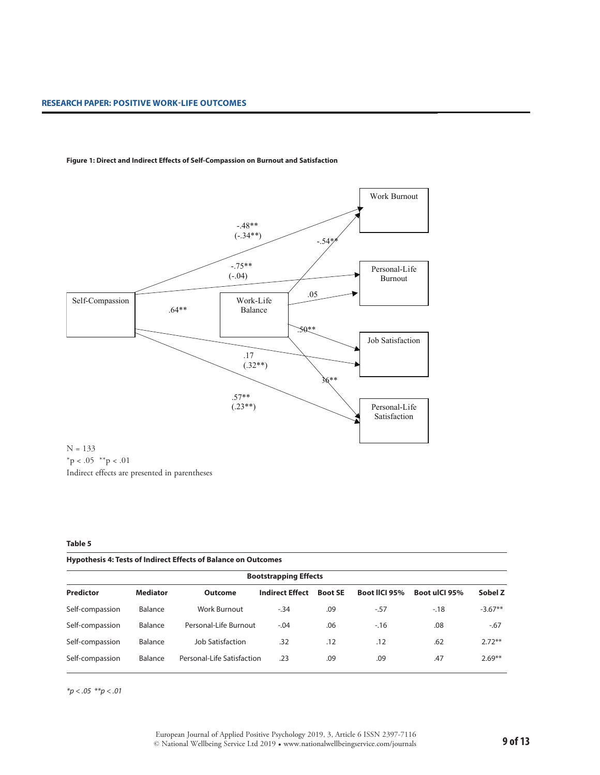

#### **Figure 1: Direct and Indirect Effects of Self-Compassion on Burnout and Satisfaction**

 $*$ p < .05  $*$  $*$ p < .01 Indirect effects are presented in parentheses

# **Table 5**

|  | Hypothesis 4: Tests of Indirect Effects of Balance on Outcomes |
|--|----------------------------------------------------------------|
|--|----------------------------------------------------------------|

| <b>Bootstrapping Effects</b> |                 |                            |                        |                |                      |               |           |  |  |
|------------------------------|-----------------|----------------------------|------------------------|----------------|----------------------|---------------|-----------|--|--|
| <b>Predictor</b>             | <b>Mediator</b> | <b>Outcome</b>             | <b>Indirect Effect</b> | <b>Boot SE</b> | <b>Boot IICI 95%</b> | Boot ulCl 95% | Sobel Z   |  |  |
| Self-compassion              | Balance         | Work Burnout               | $-34$                  | .09            | $-57$                | $-18$         | $-3.67**$ |  |  |
| Self-compassion              | Balance         | Personal-Life Burnout      | $-.04$                 | .06            | $-16$                | .08           | $-67$     |  |  |
| Self-compassion              | Balance         | Job Satisfaction           | .32                    | .12            | .12                  | .62           | $2.72***$ |  |  |
| Self-compassion              | Balance         | Personal-Life Satisfaction | .23                    | .09            | .09                  | .47           | $2.69***$ |  |  |

*\*p < .05 \*\*p < .01*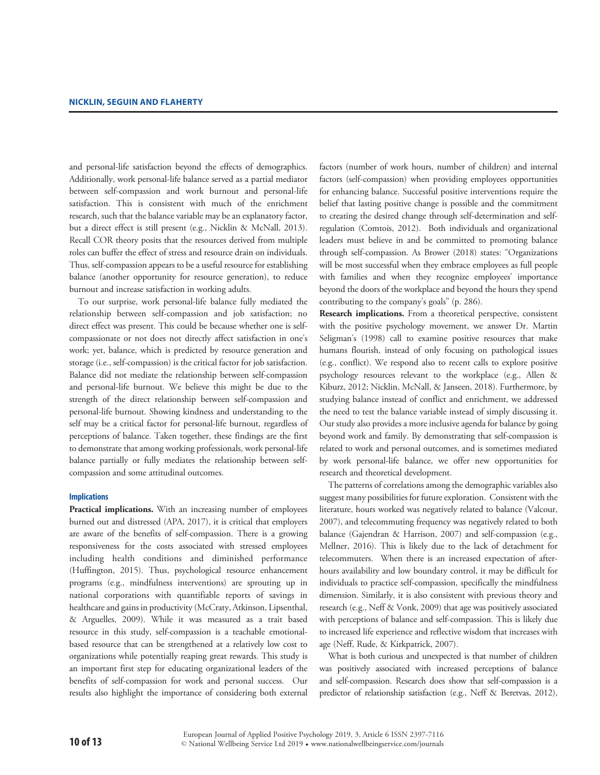and personal-life satisfaction beyond the effects of demographics. Additionally, work personal-life balance served as a partial mediator between self-compassion and work burnout and personal-life satisfaction. This is consistent with much of the enrichment research, such that the balance variable may be an explanatory factor, but a direct effect is still present (e.g., Nicklin & McNall, 2013). Recall COR theory posits that the resources derived from multiple roles can buffer the effect of stress and resource drain on individuals. Thus, self-compassion appears to be a useful resource for establishing balance (another opportunity for resource generation), to reduce burnout and increase satisfaction in working adults.

To our surprise, work personal-life balance fully mediated the relationship between self-compassion and job satisfaction; no direct effect was present. This could be because whether one is selfcompassionate or not does not directly affect satisfaction in one's work; yet, balance, which is predicted by resource generation and storage (i.e., self-compassion) is the critical factor for job satisfaction. Balance did not mediate the relationship between self-compassion and personal-life burnout. We believe this might be due to the strength of the direct relationship between self-compassion and personal-life burnout. Showing kindness and understanding to the self may be a critical factor for personal-life burnout, regardless of perceptions of balance. Taken together, these findings are the first to demonstrate that among working professionals, work personal-life balance partially or fully mediates the relationship between selfcompassion and some attitudinal outcomes.

### **Implications**

**Practical implications.** With an increasing number of employees burned out and distressed (APA, 2017), it is critical that employers are aware of the benefits of self-compassion. There is a growing responsiveness for the costs associated with stressed employees including health conditions and diminished performance (Huffington, 2015). Thus, psychological resource enhancement programs (e.g., mindfulness interventions) are sprouting up in national corporations with quantifiable reports of savings in healthcare and gains in productivity (McCraty, Atkinson, Lipsenthal, & Arguelles, 2009). While it was measured as a trait based resource in this study, self-compassion is a teachable emotionalbased resource that can be strengthened at a relatively low cost to organizations while potentially reaping great rewards. This study is an important first step for educating organizational leaders of the benefits of self-compassion for work and personal success. Our results also highlight the importance of considering both external

factors (number of work hours, number of children) and internal factors (self-compassion) when providing employees opportunities for enhancing balance. Successful positive interventions require the belief that lasting positive change is possible and the commitment to creating the desired change through self-determination and selfregulation (Comtois, 2012). Both individuals and organizational leaders must believe in and be committed to promoting balance through self-compassion. As Brower (2018) states: "Organizations will be most successful when they embrace employees as full people with families and when they recognize employees' importance beyond the doors of the workplace and beyond the hours they spend contributing to the company's goals" (p. 286).

**Research implications.** From a theoretical perspective, consistent with the positive psychology movement, we answer Dr. Martin Seligman's (1998) call to examine positive resources that make humans flourish, instead of only focusing on pathological issues (e.g., conflict). We respond also to recent calls to explore positive psychology resources relevant to the workplace (e.g., Allen & Kiburz, 2012; Nicklin, McNall, & Janseen, 2018). Furthermore, by studying balance instead of conflict and enrichment, we addressed the need to test the balance variable instead of simply discussing it. Our study also provides a more inclusive agenda for balance by going beyond work and family. By demonstrating that self-compassion is related to work and personal outcomes, and is sometimes mediated by work personal-life balance, we offer new opportunities for research and theoretical development.

The patterns of correlations among the demographic variables also suggest many possibilities for future exploration. Consistent with the literature, hours worked was negatively related to balance (Valcour, 2007), and telecommuting frequency was negatively related to both balance (Gajendran & Harrison, 2007) and self-compassion (e.g., Mellner, 2016). This is likely due to the lack of detachment for telecommuters. When there is an increased expectation of afterhours availability and low boundary control, it may be difficult for individuals to practice self-compassion, specifically the mindfulness dimension. Similarly, it is also consistent with previous theory and research (e.g., Neff & Vonk, 2009) that age was positively associated with perceptions of balance and self-compassion. This is likely due to increased life experience and reflective wisdom that increases with age (Neff, Rude, & Kirkpatrick, 2007).

What is both curious and unexpected is that number of children was positively associated with increased perceptions of balance and self-compassion. Research does show that self-compassion is a predictor of relationship satisfaction (e.g., Neff & Beretvas, 2012),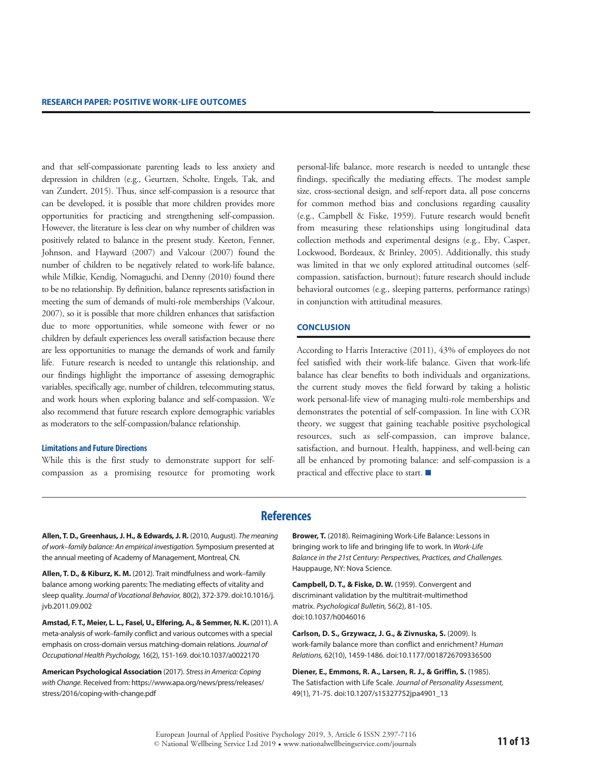and that self-compassionate parenting leads to less anxiety and depression in children (e.g., Geurtzen, Scholte, Engels, Tak, and van Zundert, 2015). Thus, since self-compassion is a resource that can be developed, it is possible that more children provides more opportunities for practicing and strengthening self-compassion. However, the literature is less clear on why number of children was positively related to balance in the present study. Keeton, Fenner, Johnson, and Hayward (2007) and Valcour (2007) found the number of children to be negatively related to work-life balance, while Milkie, Kendig, Nomaguchi, and Denny (2010) found there to be no relationship. By definition, balance represents satisfaction in meeting the sum of demands of multi-role memberships (Valcour, 2007), so it is possible that more children enhances that satisfaction due to more opportunities, while someone with fewer or no children by default experiences less overall satisfaction because there are less opportunities to manage the demands of work and family life. Future research is needed to untangle this relationship, and our findings highlight the importance of assessing demographic variables, specifically age, number of children, telecommuting status, and work hours when exploring balance and self-compassion. We also recommend that future research explore demographic variables as moderators to the self-compassion/balance relationship.

#### **Limitations and Future Directions**

While this is the first study to demonstrate support for selfcompassion as a promising resource for promoting work

personal-life balance, more research is needed to untangle these findings, specifically the mediating effects. The modest sample size, cross-sectional design, and self-report data, all pose concerns for common method bias and conclusions regarding causality (e.g., Campbell & Fiske, 1959). Future research would benefit from measuring these relationships using longitudinal data collection methods and experimental designs (e.g., Eby, Casper, Lockwood, Bordeaux, & Brinley, 2005). Additionally, this study was limited in that we only explored attitudinal outcomes (selfcompassion, satisfaction, burnout); future research should include behavioral outcomes (e.g., sleeping patterns, performance ratings) in conjunction with attitudinal measures.

#### **Conclusion**

According to Harris Interactive (2011), 43% of employees do not feel satisfied with their work-life balance. Given that work-life balance has clear benefits to both individuals and organizations, the current study moves the field forward by taking a holistic work personal-life view of managing multi-role memberships and demonstrates the potential of self-compassion. In line with COR theory, we suggest that gaining teachable positive psychological resources, such as self-compassion, can improve balance, satisfaction, and burnout. Health, happiness, and well-being can all be enhanced by promoting balance: and self-compassion is a practical and effective place to start.  $\blacksquare$ 

# **References**

**Allen, T. D., Greenhaus, J. H., & Edwards, J. R.** (2010, August). *The meaning of work–family balance: An empirical investigation.* Symposium presented at the annual meeting of Academy of Management, Montreal, CN.

**Allen, T. D., & Kiburz, K. M.** (2012). Trait mindfulness and work–family balance among working parents: The mediating effects of vitality and sleep quality. *Journal of Vocational Behavior,* 80(2), 372-379. doi:10.1016/j. jvb.2011.09.002

**Amstad, F. T., Meier, L. L., Fasel, U., Elfering, A., & Semmer, N. K.** (2011). A meta-analysis of work–family conflict and various outcomes with a special emphasis on cross-domain versus matching-domain relations. *Journal of Occupational Health Psychology,* 16(2), 151-169. doi:10.1037/a0022170

**American Psychological Association** (2017). *Stress in America: Coping with Change.* Received from: [https://www.apa.org/news/press/releases/](https://www.apa.org/news/press/releases/stress/2016/coping-with-change.pdf) [stress/2016/coping-with-change.pdf](https://www.apa.org/news/press/releases/stress/2016/coping-with-change.pdf)

**Brower, T.** (2018). Reimagining Work-Life Balance: Lessons in bringing work to life and bringing life to work. In *Work-Life Balance in the 21st Century: Perspectives, Practices, and Challenges.* Hauppauge, NY: Nova Science.

**Campbell, D. T., & Fiske, D. W.** (1959). Convergent and discriminant validation by the multitrait-multimethod matrix. *Psychological Bulletin,* 56(2), 81-105. doi:10.1037/h0046016

**Carlson, D. S., Grzywacz, J. G., & Zivnuska, S.** (2009). Is work-family balance more than conflict and enrichment? *Human Relations,* 62(10), 1459-1486. doi:10.1177/0018726709336500

**Diener, E., Emmons, R. A., Larsen, R. J., & Griffin, S.** (1985). The Satisfaction with Life Scale. *Journal of Personality Assessment,* 49(1), 71-75. doi:10.1207/s15327752jpa4901\_13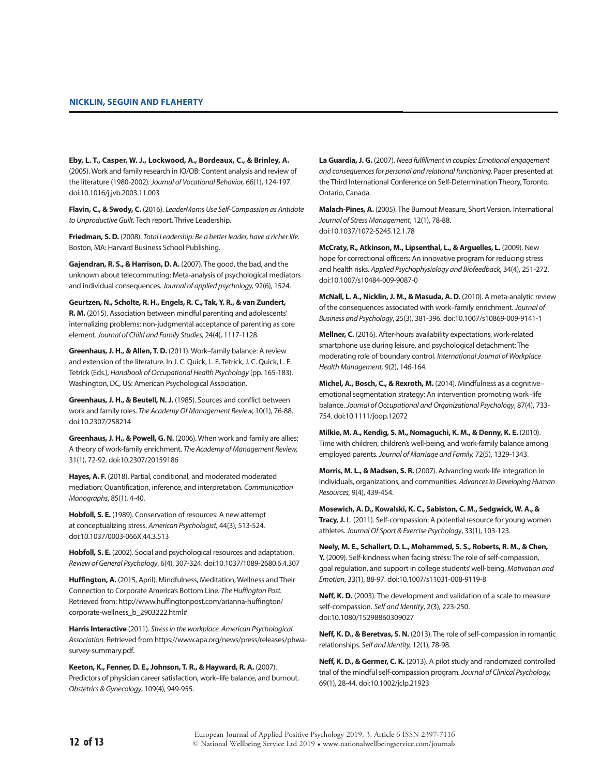**Eby, L. T., Casper, W. J., Lockwood, A., Bordeaux, C., & Brinley, A.** (2005). Work and family research in IO/OB: Content analysis and review of the literature (1980-2002). *Journal of Vocational Behavior,* 66(1), 124-197. doi:10.1016/j.jvb.2003.11.003

**Flavin, C., & Swody, C.** (2016). *LeaderMoms Use Self-Compassion as Antidote to Unproductive Guilt.* Tech report. Thrive Leadership.

**Friedman, S. D.** (2008). *Total Leadership: Be a better leader, have a richer life.*  Boston, MA: Harvard Business School Publishing.

**Gajendran, R. S., & Harrison, D. A.** (2007). The good, the bad, and the unknown about telecommuting: Meta-analysis of psychological mediators and individual consequences. *Journal of applied psychology,* 92(6), 1524.

**Geurtzen, N., Scholte, R. H., Engels, R. C., Tak, Y. R., & van Zundert, R. M.** (2015). Association between mindful parenting and adolescents' internalizing problems: non-judgmental acceptance of parenting as core element. *Journal of Child and Family Studies,* 24(4), 1117-1128.

**Greenhaus, J. H., & Allen, T. D.** (2011). Work–family balance: A review and extension of the literature. In J. C. Quick, L. E. Tetrick, J. C. Quick, L. E. Tetrick (Eds.), *Handbook of Occupational Health Psychology* (pp. 165-183). Washington, DC, US: American Psychological Association.

**Greenhaus, J. H., & Beutell, N. J.** (1985). Sources and conflict between work and family roles. *The Academy Of Management Review,* 10(1), 76-88. doi:10.2307/258214

**Greenhaus, J. H., & Powell, G. N.** (2006). When work and family are allies: A theory of work-family enrichment. *The Academy of Management Review,*  31(1), 72-92. doi:10.2307/20159186

**Hayes, A. F.** (2018). Partial, conditional, and moderated moderated mediation: Quantification, inference, and interpretation. *Communication Monographs*, 85(1), 4-40.

**Hobfoll, S. E.** (1989). Conservation of resources: A new attempt at conceptualizing stress. *American Psychologist,* 44(3), 513-524. doi:10.1037/0003-066X.44.3.513

**Hobfoll, S. E.** (2002). Social and psychological resources and adaptation. *Review of General Psychology*, 6(4), 307-324. doi:10.1037/1089-2680.6.4.307

**Huffington, A.** (2015, April). Mindfulness, Meditation, Wellness and Their Connection to Corporate America's Bottom Line. *The Huffington Post.*  Retrieved from: http://www.huffingtonpost.com/arianna-huffington/ corporate-wellness\_b\_2903222.html#

**Harris Interactive** (2011). *Stress in the workplace. American Psychological Association.* Retrieved from https://www.apa.org/news/press/releases/phwasurvey-summary.pdf.

**Keeton, K., Fenner, D. E., Johnson, T. R., & Hayward, R. A.** (2007). Predictors of physician career satisfaction, work–life balance, and burnout. *Obstetrics & Gynecology*, 109(4), 949-955.

**La Guardia, J. G.** (2007). *Need fulfillment in couples: Emotional engagement and consequences for personal and relational functioning.* Paper presented at the Third International Conference on Self-Determination Theory, Toronto, Ontario, Canada.

**Malach-Pines, A.** (2005). The Burnout Measure, Short Version. International *Journal of Stress Management*, 12(1), 78-88. doi:10.1037/1072-5245.12.1.78

**McCraty, R., Atkinson, M., Lipsenthal, L., & Arguelles, L.** (2009). New hope for correctional officers: An innovative program for reducing stress and health risks. *Applied Psychophysiology and Biofeedback*, 34(4), 251-272. doi:10.1007/s10484-009-9087-0

**McNall, L. A., Nicklin, J. M., & Masuda, A. D.** (2010). A meta-analytic review of the consequences associated with work–family enrichment. *Journal of Business and Psychology*, 25(3), 381-396. doi:10.1007/s10869-009-9141-1

**Mellner, C.** (2016). After-hours availability expectations, work-related smartphone use during leisure, and psychological detachment: The moderating role of boundary control. *International Journal of Workplace Health Management,* 9(2), 146-164.

**Michel, A., Bosch, C., & Rexroth, M.** (2014). Mindfulness as a cognitive– emotional segmentation strategy: An intervention promoting work–life balance. *Journal of Occupational and Organizational Psychology*, 87(4), 733- 754. doi:10.1111/joop.12072

**Milkie, M. A., Kendig, S. M., Nomaguchi, K. M., & Denny, K. E.** (2010). Time with children, children's well‐being, and work‐family balance among employed parents. *Journal of Marriage and Family,* 72(5), 1329-1343.

**Morris, M. L., & Madsen, S. R.** (2007). Advancing work-life integration in individuals, organizations, and communities. *Advances in Developing Human Resources,* 9(4), 439-454.

**Mosewich, A. D., Kowalski, K. C., Sabiston, C. M., Sedgwick, W. A., & Tracy, J.** L. (2011). Self-compassion: A potential resource for young women athletes. *Journal Of Sport & Exercise Psychology*, 33(1), 103-123.

**Neely, M. E., Schallert, D. L., Mohammed, S. S., Roberts, R. M., & Chen, Y.** (2009). Self-kindness when facing stress: The role of self-compassion, goal regulation, and support in college students' well-being. *Motivation and Emotion*, 33(1), 88-97. doi:10.1007/s11031-008-9119-8

**Neff, K. D.** (2003). The development and validation of a scale to measure self-compassion. *Self and Identity*, 2(3), 223-250. doi:10.1080/15298860309027

**Neff, K. D., & Beretvas, S. N.** (2013). The role of self-compassion in romantic relationships. *Self and Identity,* 12(1), 78-98.

**Neff, K. D., & Germer, C. K.** (2013). A pilot study and randomized controlled trial of the mindful self‐compassion program. *Journal of Clinical Psychology,* 69(1), 28-44. doi:10.1002/jclp.21923